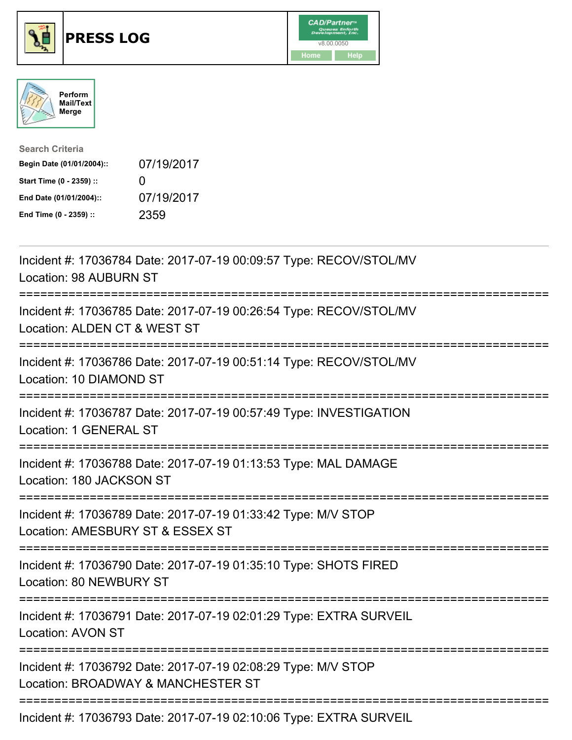





| <b>Search Criteria</b>    |              |
|---------------------------|--------------|
| Begin Date (01/01/2004):: | 07/19/2017   |
| Start Time (0 - 2359) ::  | $\mathbf{I}$ |
| End Date (01/01/2004)::   | 07/19/2017   |
| End Time (0 - 2359) ::    | 2359         |

| Incident #: 17036784 Date: 2017-07-19 00:09:57 Type: RECOV/STOL/MV<br>Location: 98 AUBURN ST                         |
|----------------------------------------------------------------------------------------------------------------------|
| Incident #: 17036785 Date: 2017-07-19 00:26:54 Type: RECOV/STOL/MV<br>Location: ALDEN CT & WEST ST                   |
| Incident #: 17036786 Date: 2017-07-19 00:51:14 Type: RECOV/STOL/MV<br>Location: 10 DIAMOND ST<br>--------            |
| Incident #: 17036787 Date: 2017-07-19 00:57:49 Type: INVESTIGATION<br>Location: 1 GENERAL ST<br>-------------------- |
| Incident #: 17036788 Date: 2017-07-19 01:13:53 Type: MAL DAMAGE<br>Location: 180 JACKSON ST                          |
| Incident #: 17036789 Date: 2017-07-19 01:33:42 Type: M/V STOP<br>Location: AMESBURY ST & ESSEX ST                    |
| Incident #: 17036790 Date: 2017-07-19 01:35:10 Type: SHOTS FIRED<br>Location: 80 NEWBURY ST                          |
| Incident #: 17036791 Date: 2017-07-19 02:01:29 Type: EXTRA SURVEIL<br><b>Location: AVON ST</b>                       |
| Incident #: 17036792 Date: 2017-07-19 02:08:29 Type: M/V STOP<br>Location: BROADWAY & MANCHESTER ST                  |
| Incident #: 17036793 Date: 2017-07-19 02:10:06 Type: EXTRA SURVEIL                                                   |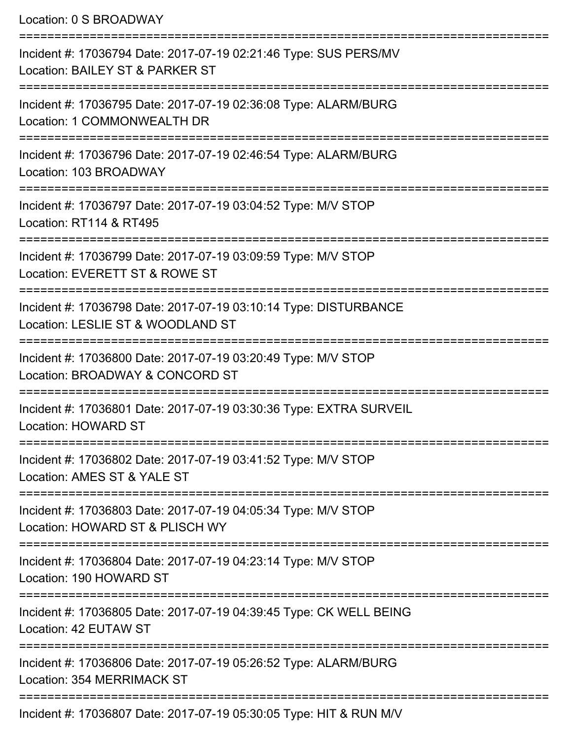Location: 0 S BROADWAY

| Incident #: 17036794 Date: 2017-07-19 02:21:46 Type: SUS PERS/MV<br>Location: BAILEY ST & PARKER ST   |
|-------------------------------------------------------------------------------------------------------|
| Incident #: 17036795 Date: 2017-07-19 02:36:08 Type: ALARM/BURG<br>Location: 1 COMMONWEALTH DR        |
| Incident #: 17036796 Date: 2017-07-19 02:46:54 Type: ALARM/BURG<br>Location: 103 BROADWAY             |
| Incident #: 17036797 Date: 2017-07-19 03:04:52 Type: M/V STOP<br>Location: RT114 & RT495              |
| Incident #: 17036799 Date: 2017-07-19 03:09:59 Type: M/V STOP<br>Location: EVERETT ST & ROWE ST       |
| Incident #: 17036798 Date: 2017-07-19 03:10:14 Type: DISTURBANCE<br>Location: LESLIE ST & WOODLAND ST |
| Incident #: 17036800 Date: 2017-07-19 03:20:49 Type: M/V STOP<br>Location: BROADWAY & CONCORD ST      |
| Incident #: 17036801 Date: 2017-07-19 03:30:36 Type: EXTRA SURVEIL<br>Location: HOWARD ST             |
| Incident #: 17036802 Date: 2017-07-19 03:41:52 Type: M/V STOP<br>Location: AMES ST & YALE ST          |
| Incident #: 17036803 Date: 2017-07-19 04:05:34 Type: M/V STOP<br>Location: HOWARD ST & PLISCH WY      |
| Incident #: 17036804 Date: 2017-07-19 04:23:14 Type: M/V STOP<br>Location: 190 HOWARD ST              |
| Incident #: 17036805 Date: 2017-07-19 04:39:45 Type: CK WELL BEING<br>Location: 42 EUTAW ST           |
| Incident #: 17036806 Date: 2017-07-19 05:26:52 Type: ALARM/BURG<br>Location: 354 MERRIMACK ST         |
| Incident #: 17036807 Date: 2017-07-19 05:30:05 Type: HIT & RUN M/V                                    |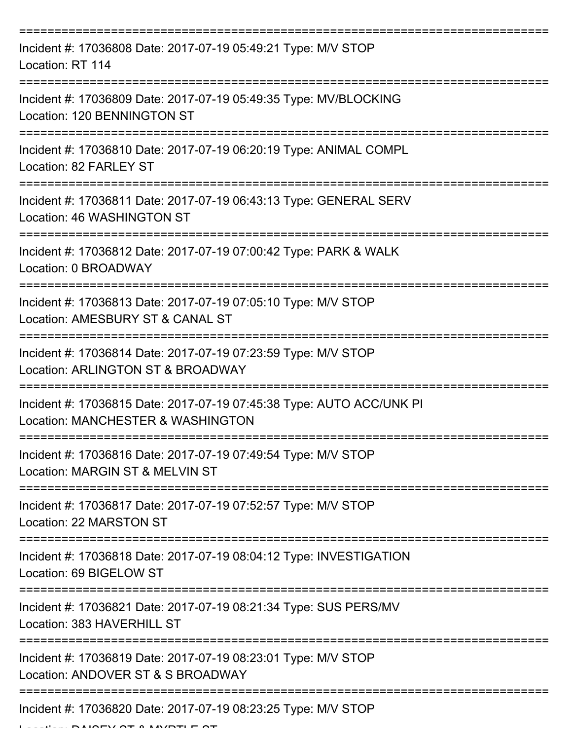| Incident #: 17036808 Date: 2017-07-19 05:49:21 Type: M/V STOP<br>Location: RT 114                         |
|-----------------------------------------------------------------------------------------------------------|
| Incident #: 17036809 Date: 2017-07-19 05:49:35 Type: MV/BLOCKING<br>Location: 120 BENNINGTON ST           |
| Incident #: 17036810 Date: 2017-07-19 06:20:19 Type: ANIMAL COMPL<br>Location: 82 FARLEY ST               |
| Incident #: 17036811 Date: 2017-07-19 06:43:13 Type: GENERAL SERV<br>Location: 46 WASHINGTON ST           |
| Incident #: 17036812 Date: 2017-07-19 07:00:42 Type: PARK & WALK<br>Location: 0 BROADWAY                  |
| Incident #: 17036813 Date: 2017-07-19 07:05:10 Type: M/V STOP<br>Location: AMESBURY ST & CANAL ST         |
| Incident #: 17036814 Date: 2017-07-19 07:23:59 Type: M/V STOP<br>Location: ARLINGTON ST & BROADWAY        |
| Incident #: 17036815 Date: 2017-07-19 07:45:38 Type: AUTO ACC/UNK PI<br>Location: MANCHESTER & WASHINGTON |
| Incident #: 17036816 Date: 2017-07-19 07:49:54 Type: M/V STOP<br>Location: MARGIN ST & MELVIN ST          |
| Incident #: 17036817 Date: 2017-07-19 07:52:57 Type: M/V STOP<br>Location: 22 MARSTON ST                  |
| Incident #: 17036818 Date: 2017-07-19 08:04:12 Type: INVESTIGATION<br>Location: 69 BIGELOW ST             |
| Incident #: 17036821 Date: 2017-07-19 08:21:34 Type: SUS PERS/MV<br>Location: 383 HAVERHILL ST            |
| Incident #: 17036819 Date: 2017-07-19 08:23:01 Type: M/V STOP<br>Location: ANDOVER ST & S BROADWAY        |
| Incident #: 17036820 Date: 2017-07-19 08:23:25 Type: M/V STOP                                             |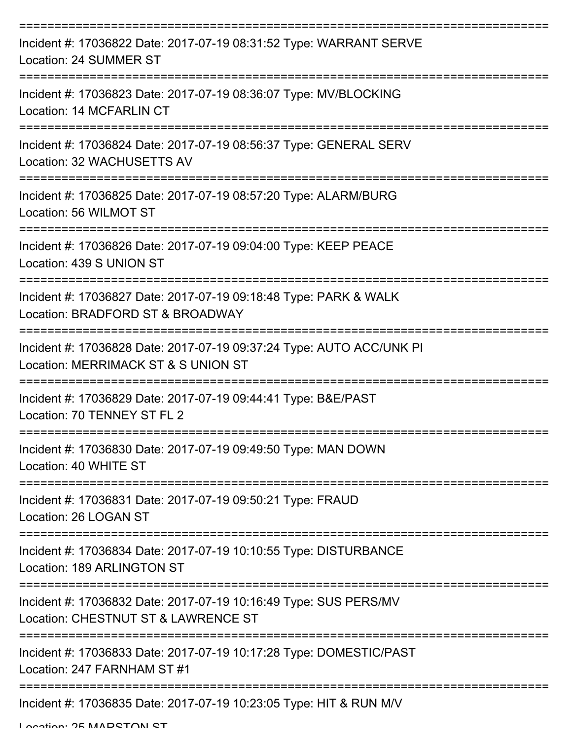| Incident #: 17036822 Date: 2017-07-19 08:31:52 Type: WARRANT SERVE<br>Location: 24 SUMMER ST                |
|-------------------------------------------------------------------------------------------------------------|
| Incident #: 17036823 Date: 2017-07-19 08:36:07 Type: MV/BLOCKING<br>Location: 14 MCFARLIN CT                |
| Incident #: 17036824 Date: 2017-07-19 08:56:37 Type: GENERAL SERV<br>Location: 32 WACHUSETTS AV             |
| Incident #: 17036825 Date: 2017-07-19 08:57:20 Type: ALARM/BURG<br>Location: 56 WILMOT ST                   |
| Incident #: 17036826 Date: 2017-07-19 09:04:00 Type: KEEP PEACE<br>Location: 439 S UNION ST                 |
| Incident #: 17036827 Date: 2017-07-19 09:18:48 Type: PARK & WALK<br>Location: BRADFORD ST & BROADWAY        |
| Incident #: 17036828 Date: 2017-07-19 09:37:24 Type: AUTO ACC/UNK PI<br>Location: MERRIMACK ST & S UNION ST |
| Incident #: 17036829 Date: 2017-07-19 09:44:41 Type: B&E/PAST<br>Location: 70 TENNEY ST FL 2                |
| Incident #: 17036830 Date: 2017-07-19 09:49:50 Type: MAN DOWN<br>Location: 40 WHITE ST                      |
| Incident #: 17036831 Date: 2017-07-19 09:50:21 Type: FRAUD<br>Location: 26 LOGAN ST                         |
| Incident #: 17036834 Date: 2017-07-19 10:10:55 Type: DISTURBANCE<br>Location: 189 ARLINGTON ST              |
| Incident #: 17036832 Date: 2017-07-19 10:16:49 Type: SUS PERS/MV<br>Location: CHESTNUT ST & LAWRENCE ST     |
| Incident #: 17036833 Date: 2017-07-19 10:17:28 Type: DOMESTIC/PAST<br>Location: 247 FARNHAM ST #1           |
| Incident #: 17036835 Date: 2017-07-19 10:23:05 Type: HIT & RUN M/V                                          |

Location: 25 MADETONI ET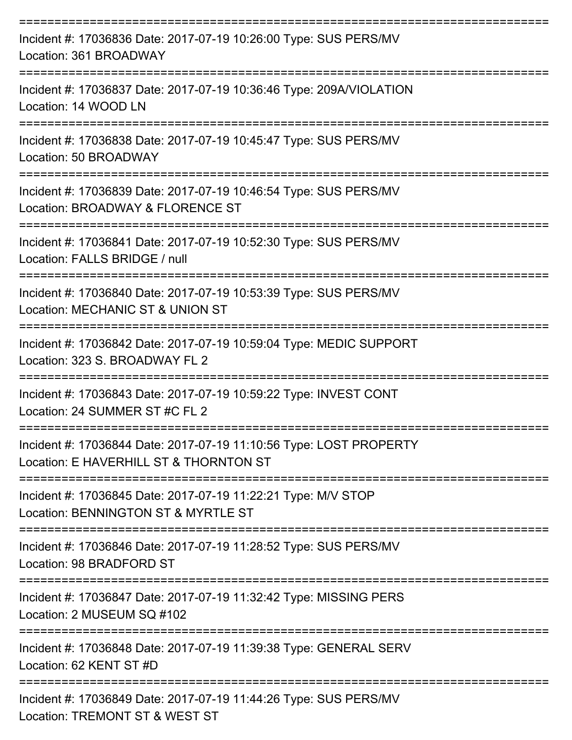| Incident #: 17036836 Date: 2017-07-19 10:26:00 Type: SUS PERS/MV<br>Location: 361 BROADWAY                     |
|----------------------------------------------------------------------------------------------------------------|
| Incident #: 17036837 Date: 2017-07-19 10:36:46 Type: 209A/VIOLATION<br>Location: 14 WOOD LN                    |
| Incident #: 17036838 Date: 2017-07-19 10:45:47 Type: SUS PERS/MV<br>Location: 50 BROADWAY<br>----------------- |
| Incident #: 17036839 Date: 2017-07-19 10:46:54 Type: SUS PERS/MV<br>Location: BROADWAY & FLORENCE ST           |
| Incident #: 17036841 Date: 2017-07-19 10:52:30 Type: SUS PERS/MV<br>Location: FALLS BRIDGE / null              |
| Incident #: 17036840 Date: 2017-07-19 10:53:39 Type: SUS PERS/MV<br>Location: MECHANIC ST & UNION ST           |
| Incident #: 17036842 Date: 2017-07-19 10:59:04 Type: MEDIC SUPPORT<br>Location: 323 S. BROADWAY FL 2           |
| Incident #: 17036843 Date: 2017-07-19 10:59:22 Type: INVEST CONT<br>Location: 24 SUMMER ST #C FL 2             |
| Incident #: 17036844 Date: 2017-07-19 11:10:56 Type: LOST PROPERTY<br>Location: E HAVERHILL ST & THORNTON ST   |
| Incident #: 17036845 Date: 2017-07-19 11:22:21 Type: M/V STOP<br>Location: BENNINGTON ST & MYRTLE ST           |
| Incident #: 17036846 Date: 2017-07-19 11:28:52 Type: SUS PERS/MV<br>Location: 98 BRADFORD ST                   |
| Incident #: 17036847 Date: 2017-07-19 11:32:42 Type: MISSING PERS<br>Location: 2 MUSEUM SQ #102                |
| Incident #: 17036848 Date: 2017-07-19 11:39:38 Type: GENERAL SERV<br>Location: 62 KENT ST #D                   |
| Incident #: 17036849 Date: 2017-07-19 11:44:26 Type: SUS PERS/MV<br>Location: TREMONT ST & WEST ST             |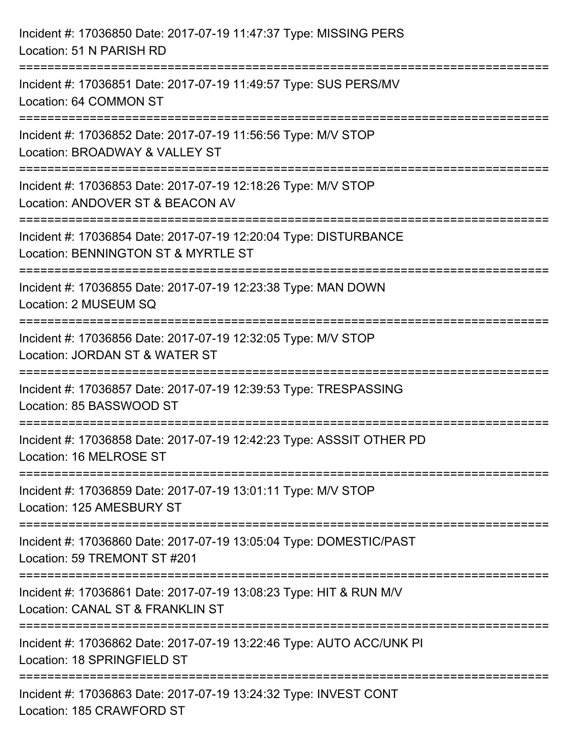| Incident #: 17036850 Date: 2017-07-19 11:47:37 Type: MISSING PERS<br>Location: 51 N PARISH RD                                                                           |
|-------------------------------------------------------------------------------------------------------------------------------------------------------------------------|
| :=========================<br>Incident #: 17036851 Date: 2017-07-19 11:49:57 Type: SUS PERS/MV<br>Location: 64 COMMON ST                                                |
| Incident #: 17036852 Date: 2017-07-19 11:56:56 Type: M/V STOP<br>Location: BROADWAY & VALLEY ST<br>=============================                                        |
| Incident #: 17036853 Date: 2017-07-19 12:18:26 Type: M/V STOP<br>Location: ANDOVER ST & BEACON AV                                                                       |
| Incident #: 17036854 Date: 2017-07-19 12:20:04 Type: DISTURBANCE<br>Location: BENNINGTON ST & MYRTLE ST<br>=========================<br>=============================== |
| Incident #: 17036855 Date: 2017-07-19 12:23:38 Type: MAN DOWN<br>Location: 2 MUSEUM SQ                                                                                  |
| Incident #: 17036856 Date: 2017-07-19 12:32:05 Type: M/V STOP<br>Location: JORDAN ST & WATER ST<br>====================================                                 |
| Incident #: 17036857 Date: 2017-07-19 12:39:53 Type: TRESPASSING<br>Location: 85 BASSWOOD ST                                                                            |
| Incident #: 17036858 Date: 2017-07-19 12:42:23 Type: ASSSIT OTHER PD<br>Location: 16 MELROSE ST                                                                         |
| Incident #: 17036859 Date: 2017-07-19 13:01:11 Type: M/V STOP<br>Location: 125 AMESBURY ST                                                                              |
| Incident #: 17036860 Date: 2017-07-19 13:05:04 Type: DOMESTIC/PAST<br>Location: 59 TREMONT ST #201                                                                      |
| Incident #: 17036861 Date: 2017-07-19 13:08:23 Type: HIT & RUN M/V<br>Location: CANAL ST & FRANKLIN ST                                                                  |
| Incident #: 17036862 Date: 2017-07-19 13:22:46 Type: AUTO ACC/UNK PI<br>Location: 18 SPRINGFIELD ST                                                                     |
| Incident #: 17036863 Date: 2017-07-19 13:24:32 Type: INVEST CONT<br>Location: 185 CRAWFORD ST                                                                           |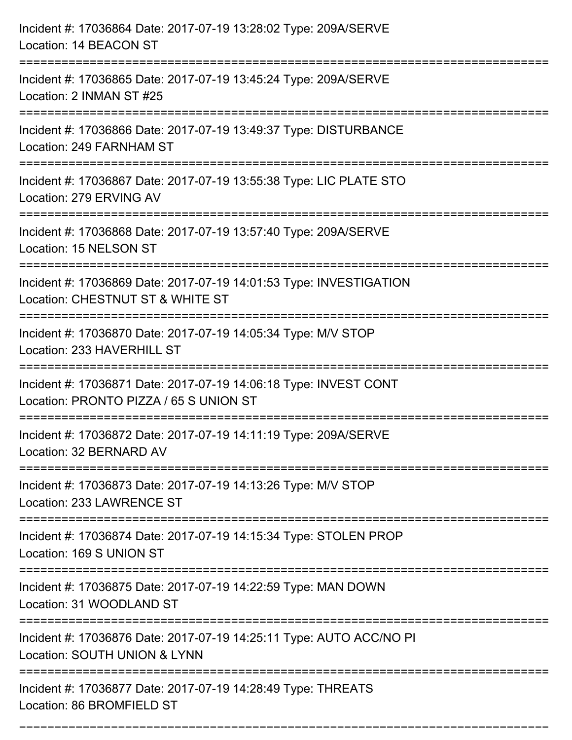| Incident #: 17036864 Date: 2017-07-19 13:28:02 Type: 209A/SERVE<br>Location: 14 BEACON ST                            |
|----------------------------------------------------------------------------------------------------------------------|
| Incident #: 17036865 Date: 2017-07-19 13:45:24 Type: 209A/SERVE<br>Location: 2 INMAN ST #25                          |
| Incident #: 17036866 Date: 2017-07-19 13:49:37 Type: DISTURBANCE<br>Location: 249 FARNHAM ST                         |
| Incident #: 17036867 Date: 2017-07-19 13:55:38 Type: LIC PLATE STO<br>Location: 279 ERVING AV                        |
| Incident #: 17036868 Date: 2017-07-19 13:57:40 Type: 209A/SERVE<br>Location: 15 NELSON ST                            |
| Incident #: 17036869 Date: 2017-07-19 14:01:53 Type: INVESTIGATION<br>Location: CHESTNUT ST & WHITE ST               |
| Incident #: 17036870 Date: 2017-07-19 14:05:34 Type: M/V STOP<br>Location: 233 HAVERHILL ST<br>===================== |
| Incident #: 17036871 Date: 2017-07-19 14:06:18 Type: INVEST CONT<br>Location: PRONTO PIZZA / 65 S UNION ST           |
| Incident #: 17036872 Date: 2017-07-19 14:11:19 Type: 209A/SERVE<br>Location: 32 BERNARD AV                           |
| Incident #: 17036873 Date: 2017-07-19 14:13:26 Type: M/V STOP<br>Location: 233 LAWRENCE ST                           |
| Incident #: 17036874 Date: 2017-07-19 14:15:34 Type: STOLEN PROP<br>Location: 169 S UNION ST                         |
| Incident #: 17036875 Date: 2017-07-19 14:22:59 Type: MAN DOWN<br>Location: 31 WOODLAND ST                            |
| Incident #: 17036876 Date: 2017-07-19 14:25:11 Type: AUTO ACC/NO PI<br>Location: SOUTH UNION & LYNN                  |
| Incident #: 17036877 Date: 2017-07-19 14:28:49 Type: THREATS<br>Location: 86 BROMFIELD ST                            |

===========================================================================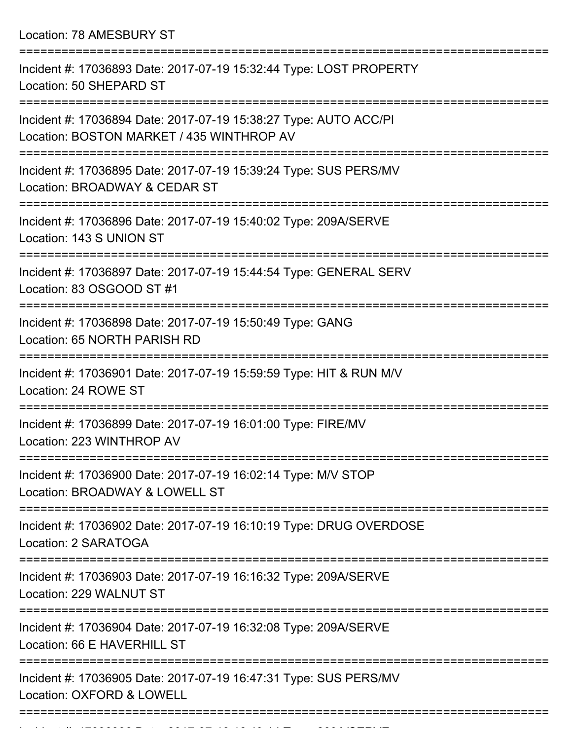Location: 78 AMESBURY ST

| Incident #: 17036893 Date: 2017-07-19 15:32:44 Type: LOST PROPERTY<br>Location: 50 SHEPARD ST                                        |
|--------------------------------------------------------------------------------------------------------------------------------------|
| Incident #: 17036894 Date: 2017-07-19 15:38:27 Type: AUTO ACC/PI<br>Location: BOSTON MARKET / 435 WINTHROP AV                        |
| Incident #: 17036895 Date: 2017-07-19 15:39:24 Type: SUS PERS/MV<br>Location: BROADWAY & CEDAR ST                                    |
| Incident #: 17036896 Date: 2017-07-19 15:40:02 Type: 209A/SERVE<br>Location: 143 S UNION ST                                          |
| Incident #: 17036897 Date: 2017-07-19 15:44:54 Type: GENERAL SERV<br>Location: 83 OSGOOD ST #1<br>================================== |
| Incident #: 17036898 Date: 2017-07-19 15:50:49 Type: GANG<br>Location: 65 NORTH PARISH RD                                            |
| Incident #: 17036901 Date: 2017-07-19 15:59:59 Type: HIT & RUN M/V<br>Location: 24 ROWE ST                                           |
| Incident #: 17036899 Date: 2017-07-19 16:01:00 Type: FIRE/MV<br>Location: 223 WINTHROP AV                                            |
| Incident #: 17036900 Date: 2017-07-19 16:02:14 Type: M/V STOP<br>Location: BROADWAY & LOWELL ST                                      |
| Incident #: 17036902 Date: 2017-07-19 16:10:19 Type: DRUG OVERDOSE<br>Location: 2 SARATOGA                                           |
| Incident #: 17036903 Date: 2017-07-19 16:16:32 Type: 209A/SERVE<br>Location: 229 WALNUT ST                                           |
| ====================<br>Incident #: 17036904 Date: 2017-07-19 16:32:08 Type: 209A/SERVE<br>Location: 66 E HAVERHILL ST               |
| Incident #: 17036905 Date: 2017-07-19 16:47:31 Type: SUS PERS/MV<br>Location: OXFORD & LOWELL                                        |
|                                                                                                                                      |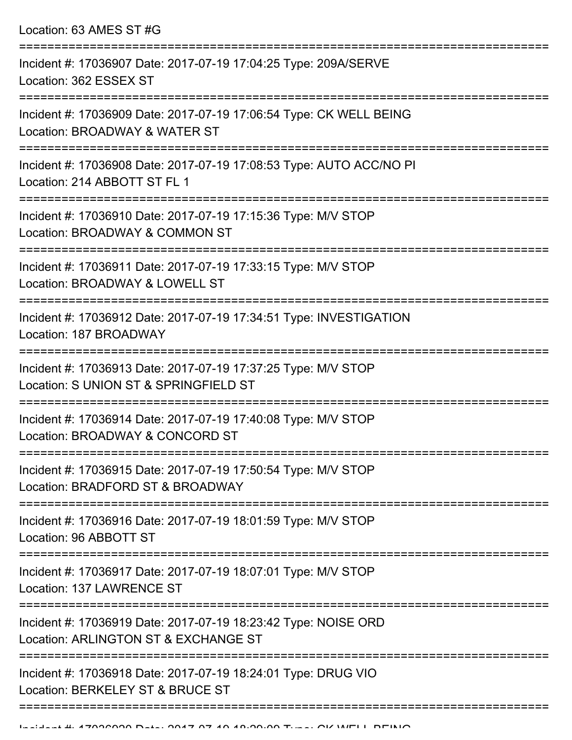| Incident #: 17036907 Date: 2017-07-19 17:04:25 Type: 209A/SERVE<br>Location: 362 ESSEX ST              |
|--------------------------------------------------------------------------------------------------------|
| Incident #: 17036909 Date: 2017-07-19 17:06:54 Type: CK WELL BEING<br>Location: BROADWAY & WATER ST    |
| Incident #: 17036908 Date: 2017-07-19 17:08:53 Type: AUTO ACC/NO PI<br>Location: 214 ABBOTT ST FL 1    |
| Incident #: 17036910 Date: 2017-07-19 17:15:36 Type: M/V STOP<br>Location: BROADWAY & COMMON ST        |
| Incident #: 17036911 Date: 2017-07-19 17:33:15 Type: M/V STOP<br>Location: BROADWAY & LOWELL ST        |
| Incident #: 17036912 Date: 2017-07-19 17:34:51 Type: INVESTIGATION<br>Location: 187 BROADWAY           |
| Incident #: 17036913 Date: 2017-07-19 17:37:25 Type: M/V STOP<br>Location: S UNION ST & SPRINGFIELD ST |
| Incident #: 17036914 Date: 2017-07-19 17:40:08 Type: M/V STOP<br>Location: BROADWAY & CONCORD ST       |
| Incident #: 17036915 Date: 2017-07-19 17:50:54 Type: M/V STOP<br>Location: BRADFORD ST & BROADWAY      |
| Incident #: 17036916 Date: 2017-07-19 18:01:59 Type: M/V STOP<br>Location: 96 ABBOTT ST                |
| Incident #: 17036917 Date: 2017-07-19 18:07:01 Type: M/V STOP<br>Location: 137 LAWRENCE ST             |
| Incident #: 17036919 Date: 2017-07-19 18:23:42 Type: NOISE ORD<br>Location: ARLINGTON ST & EXCHANGE ST |
| Incident #: 17036918 Date: 2017-07-19 18:24:01 Type: DRUG VIO<br>Location: BERKELEY ST & BRUCE ST      |
|                                                                                                        |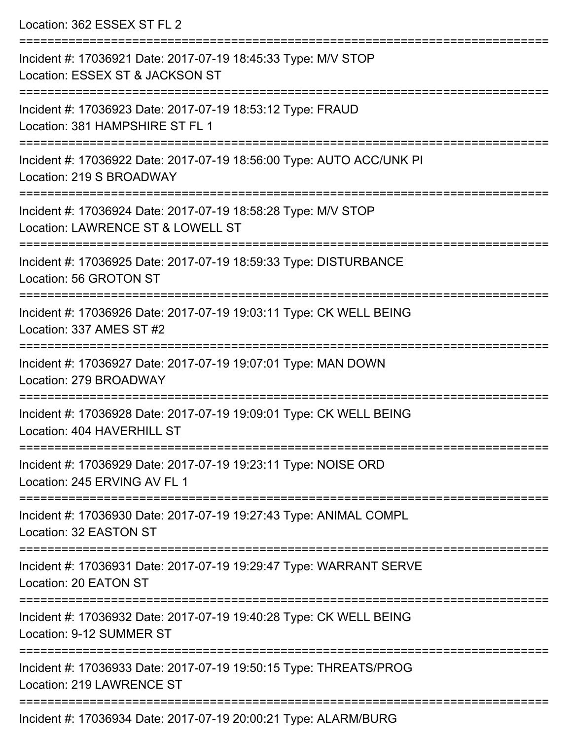| Location: 362 ESSEX ST FL 2                                                                                                              |
|------------------------------------------------------------------------------------------------------------------------------------------|
| Incident #: 17036921 Date: 2017-07-19 18:45:33 Type: M/V STOP<br>Location: ESSEX ST & JACKSON ST<br>===================================  |
| Incident #: 17036923 Date: 2017-07-19 18:53:12 Type: FRAUD<br>Location: 381 HAMPSHIRE ST FL 1                                            |
| Incident #: 17036922 Date: 2017-07-19 18:56:00 Type: AUTO ACC/UNK PI<br>Location: 219 S BROADWAY<br>==================================== |
| Incident #: 17036924 Date: 2017-07-19 18:58:28 Type: M/V STOP<br>Location: LAWRENCE ST & LOWELL ST                                       |
| Incident #: 17036925 Date: 2017-07-19 18:59:33 Type: DISTURBANCE<br>Location: 56 GROTON ST                                               |
| Incident #: 17036926 Date: 2017-07-19 19:03:11 Type: CK WELL BEING<br>Location: 337 AMES ST #2                                           |
| Incident #: 17036927 Date: 2017-07-19 19:07:01 Type: MAN DOWN<br>Location: 279 BROADWAY                                                  |
| Incident #: 17036928 Date: 2017-07-19 19:09:01 Type: CK WELL BEING<br>Location: 404 HAVERHILL ST                                         |
| Incident #: 17036929 Date: 2017-07-19 19:23:11 Type: NOISE ORD<br>Location: 245 ERVING AV FL 1                                           |
| Incident #: 17036930 Date: 2017-07-19 19:27:43 Type: ANIMAL COMPL<br>Location: 32 EASTON ST                                              |
| Incident #: 17036931 Date: 2017-07-19 19:29:47 Type: WARRANT SERVE<br>Location: 20 EATON ST                                              |
| Incident #: 17036932 Date: 2017-07-19 19:40:28 Type: CK WELL BEING<br>Location: 9-12 SUMMER ST                                           |
| Incident #: 17036933 Date: 2017-07-19 19:50:15 Type: THREATS/PROG<br>Location: 219 LAWRENCE ST                                           |

Incident #: 17036934 Date: 2017-07-19 20:00:21 Type: ALARM/BURG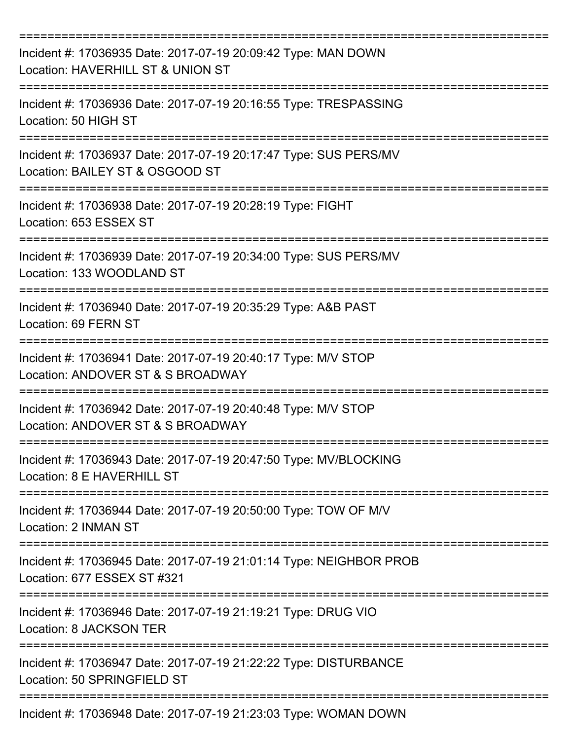| Incident #: 17036935 Date: 2017-07-19 20:09:42 Type: MAN DOWN<br>Location: HAVERHILL ST & UNION ST  |
|-----------------------------------------------------------------------------------------------------|
| Incident #: 17036936 Date: 2017-07-19 20:16:55 Type: TRESPASSING<br>Location: 50 HIGH ST            |
| Incident #: 17036937 Date: 2017-07-19 20:17:47 Type: SUS PERS/MV<br>Location: BAILEY ST & OSGOOD ST |
| Incident #: 17036938 Date: 2017-07-19 20:28:19 Type: FIGHT<br>Location: 653 ESSEX ST                |
| Incident #: 17036939 Date: 2017-07-19 20:34:00 Type: SUS PERS/MV<br>Location: 133 WOODLAND ST       |
| Incident #: 17036940 Date: 2017-07-19 20:35:29 Type: A&B PAST<br>Location: 69 FERN ST               |
| Incident #: 17036941 Date: 2017-07-19 20:40:17 Type: M/V STOP<br>Location: ANDOVER ST & S BROADWAY  |
| Incident #: 17036942 Date: 2017-07-19 20:40:48 Type: M/V STOP<br>Location: ANDOVER ST & S BROADWAY  |
| Incident #: 17036943 Date: 2017-07-19 20:47:50 Type: MV/BLOCKING<br>Location: 8 E HAVERHILL ST      |
| Incident #: 17036944 Date: 2017-07-19 20:50:00 Type: TOW OF M/V<br>Location: 2 INMAN ST             |
| Incident #: 17036945 Date: 2017-07-19 21:01:14 Type: NEIGHBOR PROB<br>Location: 677 ESSEX ST #321   |
| Incident #: 17036946 Date: 2017-07-19 21:19:21 Type: DRUG VIO<br>Location: 8 JACKSON TER            |
| Incident #: 17036947 Date: 2017-07-19 21:22:22 Type: DISTURBANCE<br>Location: 50 SPRINGFIELD ST     |
| Incident #: 17036948 Date: 2017-07-19 21:23:03 Type: WOMAN DOWN                                     |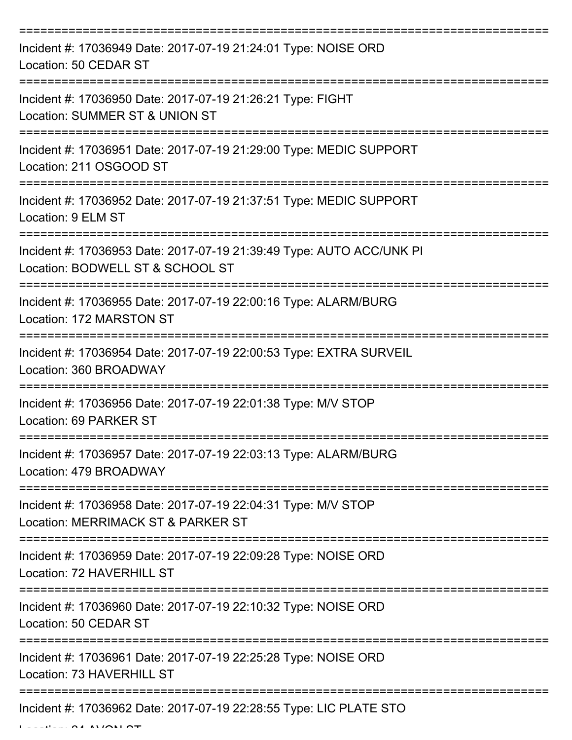| Incident #: 17036949 Date: 2017-07-19 21:24:01 Type: NOISE ORD<br>Location: 50 CEDAR ST                     |
|-------------------------------------------------------------------------------------------------------------|
| Incident #: 17036950 Date: 2017-07-19 21:26:21 Type: FIGHT<br>Location: SUMMER ST & UNION ST                |
| Incident #: 17036951 Date: 2017-07-19 21:29:00 Type: MEDIC SUPPORT<br>Location: 211 OSGOOD ST               |
| Incident #: 17036952 Date: 2017-07-19 21:37:51 Type: MEDIC SUPPORT<br>Location: 9 ELM ST                    |
| Incident #: 17036953 Date: 2017-07-19 21:39:49 Type: AUTO ACC/UNK PI<br>Location: BODWELL ST & SCHOOL ST    |
| Incident #: 17036955 Date: 2017-07-19 22:00:16 Type: ALARM/BURG<br>Location: 172 MARSTON ST                 |
| Incident #: 17036954 Date: 2017-07-19 22:00:53 Type: EXTRA SURVEIL<br>Location: 360 BROADWAY<br>=========== |
| Incident #: 17036956 Date: 2017-07-19 22:01:38 Type: M/V STOP<br>Location: 69 PARKER ST                     |
| Incident #: 17036957 Date: 2017-07-19 22:03:13 Type: ALARM/BURG<br>Location: 479 BROADWAY                   |
| Incident #: 17036958 Date: 2017-07-19 22:04:31 Type: M/V STOP<br>Location: MERRIMACK ST & PARKER ST         |
| Incident #: 17036959 Date: 2017-07-19 22:09:28 Type: NOISE ORD<br>Location: 72 HAVERHILL ST                 |
| Incident #: 17036960 Date: 2017-07-19 22:10:32 Type: NOISE ORD<br>Location: 50 CEDAR ST                     |
| Incident #: 17036961 Date: 2017-07-19 22:25:28 Type: NOISE ORD<br>Location: 73 HAVERHILL ST                 |
| Incident #: 17036962 Date: 2017-07-19 22:28:55 Type: LIC PLATE STO                                          |

 $L = LL = L$   $\sim$  24 AVON ST